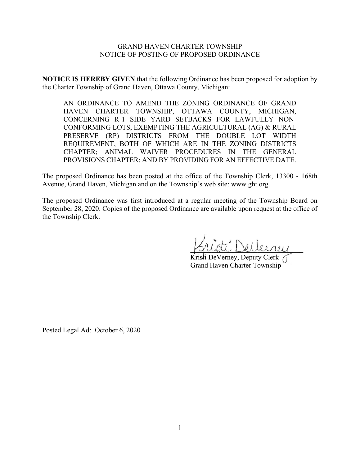#### GRAND HAVEN CHARTER TOWNSHIP NOTICE OF POSTING OF PROPOSED ORDINANCE

**NOTICE IS HEREBY GIVEN** that the following Ordinance has been proposed for adoption by the Charter Township of Grand Haven, Ottawa County, Michigan:

AN ORDINANCE TO AMEND THE ZONING ORDINANCE OF GRAND HAVEN CHARTER TOWNSHIP, OTTAWA COUNTY, MICHIGAN, CONCERNING R-1 SIDE YARD SETBACKS FOR LAWFULLY NON-CONFORMING LOTS, EXEMPTING THE AGRICULTURAL (AG) & RURAL PRESERVE (RP) DISTRICTS FROM THE DOUBLE LOT WIDTH REQUIREMENT, BOTH OF WHICH ARE IN THE ZONING DISTRICTS CHAPTER; ANIMAL WAIVER PROCEDURES IN THE GENERAL PROVISIONS CHAPTER; AND BY PROVIDING FOR AN EFFECTIVE DATE.

The proposed Ordinance has been posted at the office of the Township Clerk, 13300 - 168th Avenue, Grand Haven, Michigan and on the Township's web site: www.ght.org.

The proposed Ordinance was first introduced at a regular meeting of the Township Board on September 28, 2020. Copies of the proposed Ordinance are available upon request at the office of the Township Clerk.

\_\_\_\_\_\_\_\_\_\_\_\_\_\_\_\_\_\_\_\_\_\_\_\_\_\_\_\_\_\_\_\_

Kristi DeVerney, Deputy Clerk Grand Haven Charter Township

Posted Legal Ad: October 6, 2020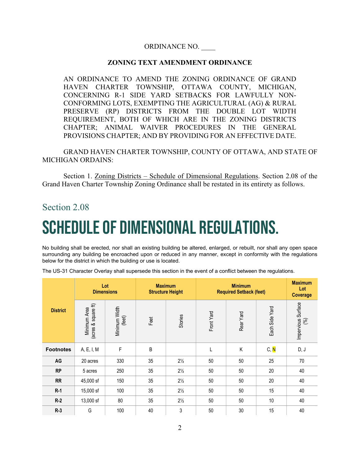## ORDINANCE NO. \_\_\_\_

### **ZONING TEXT AMENDMENT ORDINANCE**

AN ORDINANCE TO AMEND THE ZONING ORDINANCE OF GRAND HAVEN CHARTER TOWNSHIP, OTTAWA COUNTY, MICHIGAN, CONCERNING R-1 SIDE YARD SETBACKS FOR LAWFULLY NON-CONFORMING LOTS, EXEMPTING THE AGRICULTURAL (AG) & RURAL PRESERVE (RP) DISTRICTS FROM THE DOUBLE LOT WIDTH REQUIREMENT, BOTH OF WHICH ARE IN THE ZONING DISTRICTS CHAPTER; ANIMAL WAIVER PROCEDURES IN THE GENERAL PROVISIONS CHAPTER; AND BY PROVIDING FOR AN EFFECTIVE DATE.

GRAND HAVEN CHARTER TOWNSHIP, COUNTY OF OTTAWA, AND STATE OF MICHIGAN ORDAINS:

Section 1. Zoning Districts – Schedule of Dimensional Regulations. Section 2.08 of the Grand Haven Charter Township Zoning Ordinance shall be restated in its entirety as follows.

## Section 2.08

# Schedule of Dimensional Regulations.

No building shall be erected, nor shall an existing building be altered, enlarged, or rebuilt, nor shall any open space surrounding any building be encroached upon or reduced in any manner, except in conformity with the regulations below for the district in which the building or use is located.

The US-31 Character Overlay shall supersede this section in the event of a conflict between the regulations.

| Lot<br><b>Dimensions</b> |                                     | <b>Maximum</b><br><b>Structure Height</b> |      | <b>Minimum</b><br><b>Required Setback (feet)</b> |            |           | <b>Maximum</b><br>Lot<br><b>Coverage</b> |                             |
|--------------------------|-------------------------------------|-------------------------------------------|------|--------------------------------------------------|------------|-----------|------------------------------------------|-----------------------------|
| <b>District</b>          | (acres & square ft)<br>Minimum Area | Minimum Width<br>(feet)                   | Feet | Stories                                          | Front Yard | Rear Yard | Each Side Yard                           | Impervious Surface<br>$(%)$ |
| <b>Footnotes</b>         | A, E, I, M                          | F                                         | B    |                                                  |            | Κ         | C, N                                     | D, J                        |
| AG                       | 20 acres                            | 330                                       | 35   | $2\frac{1}{2}$                                   | 50         | 50        | 25                                       | 70                          |
| <b>RP</b>                | 5 acres                             | 250                                       | 35   | $2\frac{1}{2}$                                   | 50         | 50        | 20                                       | 40                          |
| <b>RR</b>                | 45,000 sf                           | 150                                       | 35   | $2\frac{1}{2}$                                   | 50         | 50        | 20                                       | 40                          |
| $R-1$                    | 15,000 sf                           | 100                                       | 35   | $2\frac{1}{2}$                                   | 50         | 50        | 15                                       | 40                          |
| $R-2$                    | 13,000 sf                           | 80                                        | 35   | $2\frac{1}{2}$                                   | 50         | 50        | 10                                       | 40                          |
| $R-3$                    | G                                   | 100                                       | 40   | 3                                                | 50         | 30        | 15                                       | 40                          |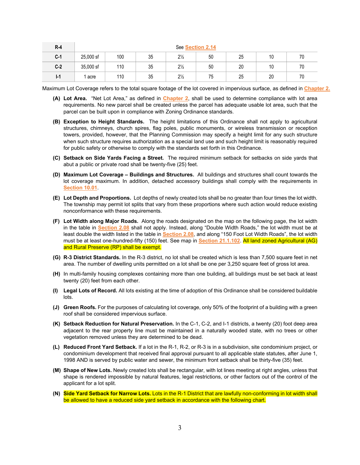| $R-4$ | See Section 2.14 |     |    |                |    |    |    |    |
|-------|------------------|-----|----|----------------|----|----|----|----|
| $C-1$ | 25,000 sf        | 100 | 35 | $2\frac{1}{2}$ | 50 | 25 | 10 | 70 |
| $C-2$ | 35,000 sf        | 110 | 35 | $2\frac{1}{2}$ | 50 | 20 | 10 |    |
| $I-1$ | 1 acre           | 110 | 35 | $2\frac{1}{2}$ | 75 | 25 | 20 |    |

Maximum Lot Coverage refers to the total square footage of the lot covered in impervious surface, as defined in **Chapter 2.**

- **(A) Lot Area.** "Net Lot Area," as defined in **Chapter 2**, shall be used to determine compliance with lot area requirements. No new parcel shall be created unless the parcel has adequate usable lot area, such that the parcel can be built upon in compliance with Zoning Ordinance standards.
- **(B) Exception to Height Standards.** The height limitations of this Ordinance shall not apply to agricultural structures, chimneys, church spires, flag poles, public monuments, or wireless transmission or reception towers, provided, however, that the Planning Commission may specify a height limit for any such structure when such structure requires authorization as a special land use and such height limit is reasonably required for public safety or otherwise to comply with the standards set forth in this Ordinance.
- **(C) Setback on Side Yards Facing a Street.** The required minimum setback for setbacks on side yards that abut a public or private road shall be twenty-five (25) feet.
- **(D) Maximum Lot Coverage – Buildings and Structures.** All buildings and structures shall count towards the lot coverage maximum. In addition, detached accessory buildings shall comply with the requirements in **Section 10.01**.
- **(E) Lot Depth and Proportions.** Lot depths of newly created lots shall be no greater than four times the lot width. The township may permit lot splits that vary from these proportions where such action would reduce existing nonconformance with these requirements.
- **(F) Lot Width along Major Roads.** Along the roads designated on the map on the following page, the lot width in the table in **Section 2.08** shall not apply. Instead, along "Double Width Roads," the lot width must be at least double the width listed in the table in **Section 2.08**, and along "150 Foot Lot Width Roads", the lot width must be at least one-hundred-fifty (150) feet. See map in **Section 21.1.102**. All land zoned Agricultural (AG) and Rural Preserve (RP) shall be exempt.
- **(G) R-3 District Standards.** In the R-3 district, no lot shall be created which is less than 7,500 square feet in net area. The number of dwelling units permitted on a lot shall be one per 3,250 square feet of gross lot area.
- **(H)** In multi-family housing complexes containing more than one building, all buildings must be set back at least twenty (20) feet from each other.
- **(I) Legal Lots of Record.** All lots existing at the time of adoption of this Ordinance shall be considered buildable lots.
- **(J) Green Roofs.** For the purposes of calculating lot coverage, only 50% of the footprint of a building with a green roof shall be considered impervious surface.
- **(K) Setback Reduction for Natural Preservation.** In the C-1, C-2, and I-1 districts, a twenty (20) foot deep area adjacent to the rear property line must be maintained in a naturally wooded state, with no trees or other vegetation removed unless they are determined to be dead.
- **(L) Reduced Front Yard Setback.** If a lot in the R-1, R-2, or R-3 is in a subdivision, site condominium project, or condominium development that received final approval pursuant to all applicable state statutes, after June 1, 1998 AND is served by public water and sewer, the minimum front setback shall be thirty-five (35) feet.
- **(M) Shape of New Lots.** Newly created lots shall be rectangular, with lot lines meeting at right angles, unless that shape is rendered impossible by natural features, legal restrictions, or other factors out of the control of the applicant for a lot split.
- **(N) Side Yard Setback for Narrow Lots.** Lots in the R-1 District that are lawfully non-conforming in lot width shall be allowed to have a reduced side yard setback in accordance with the following chart.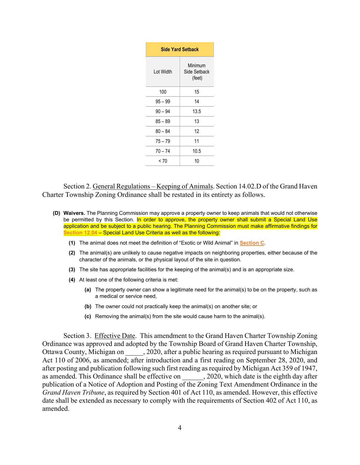| <b>Side Yard Setback</b> |                                   |  |  |  |
|--------------------------|-----------------------------------|--|--|--|
| Lot Width                | Minimum<br>Side Setback<br>(feet) |  |  |  |
| 100                      | 15                                |  |  |  |
| 95 – 99                  | 14                                |  |  |  |
| $90 - 94$                | 13.5                              |  |  |  |
| $85 - 89$                | 13                                |  |  |  |
| $80 - 84$                | 12                                |  |  |  |
| $75 - 79$                | 11                                |  |  |  |
| $70 - 74$                | 10.5                              |  |  |  |
| < 70                     | 10                                |  |  |  |

Section 2. General Regulations – Keeping of Animals. Section 14.02.D of the Grand Haven Charter Township Zoning Ordinance shall be restated in its entirety as follows.

- **(D) Waivers.** The Planning Commission may approve a property owner to keep animals that would not otherwise be permitted by this Section. In order to approve, the property owner shall submit a Special Land Use application and be subject to a public hearing. The Planning Commission must make affirmative findings for **Section 12.04** – Special Land Use Criteria as well as the following:
	- **(1)** The animal does not meet the definition of "Exotic or Wild Animal" in **Section C**.
	- **(2)** The animal(s) are unlikely to cause negative impacts on neighboring properties, either because of the character of the animals, or the physical layout of the site in question.
	- **(3)** The site has appropriate facilities for the keeping of the animal(s) and is an appropriate size.
	- **(4)** At least one of the following criteria is met:
		- **(a)** The property owner can show a legitimate need for the animal(s) to be on the property, such as a medical or service need,
		- **(b)** The owner could not practically keep the animal(s) on another site; or
		- **(c)** Removing the animal(s) from the site would cause harm to the animal(s).

Section 3. Effective Date. This amendment to the Grand Haven Charter Township Zoning Ordinance was approved and adopted by the Township Board of Grand Haven Charter Township, Ottawa County, Michigan on  $\qquad \qquad$ , 2020, after a public hearing as required pursuant to Michigan Act 110 of 2006, as amended; after introduction and a first reading on September 28, 2020, and after posting and publication following such first reading as required by Michigan Act 359 of 1947, as amended. This Ordinance shall be effective on  $\qquad \qquad$ , 2020, which date is the eighth day after publication of a Notice of Adoption and Posting of the Zoning Text Amendment Ordinance in the *Grand Haven Tribune*, as required by Section 401 of Act 110, as amended. However, this effective date shall be extended as necessary to comply with the requirements of Section 402 of Act 110, as amended.